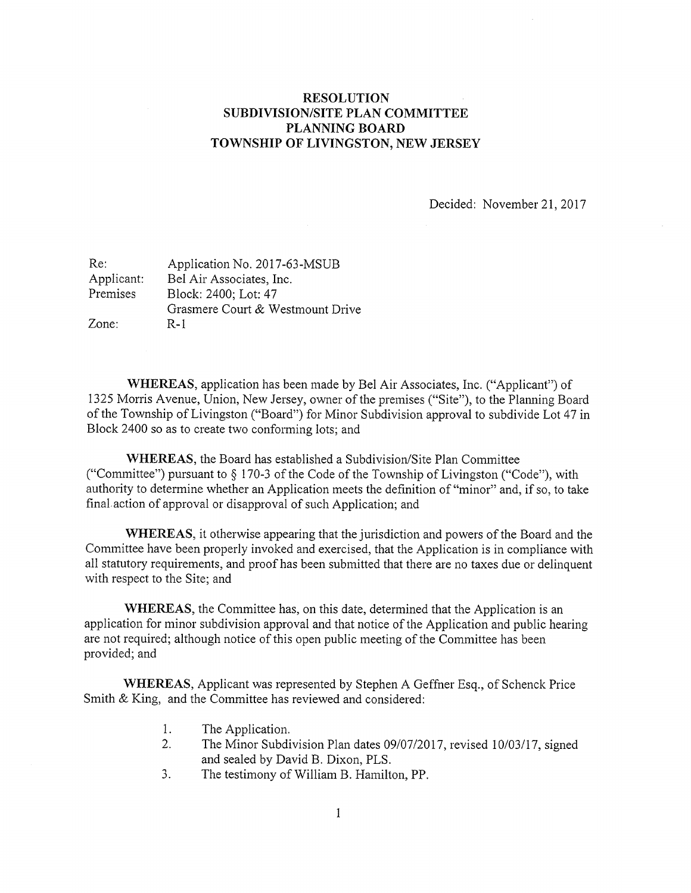## RESOLUTION SUBDIVISION/SITE PLAN COMMITTEE PLANNING BOARD TOWNSHIP OF LIVINGSTON, NEW JERSEY

Decided: November 21, 2017

| Re:        | Application No. 2017-63-MSUB     |
|------------|----------------------------------|
| Applicant: | Bel Air Associates, Inc.         |
| Premises   | Block: 2400; Lot: 47             |
|            | Grasmere Court & Westmount Drive |
| Zone:      | R-1                              |

WHEREAS, application has been made by Bel Air Associates, Inc. ("Applicant") of 1325 Morris Avenue, Union, New Jersey, owner of the premises ("Site"), to the Planning Board of the Township of Livingston ("Board") for Minor Subdivision approval to subdivide Lot 47 in Block 2400 so as to create two conforming lots; and

WHEREAS, the Board has established a Subdivision/Site Plan Committee ("Committee") pursuant to § 170-3 of the Code of the Township of Livingston ("Code"), with authority to determine whether an Application meets the definition of "minor" and, if so, to take final action of approval or disapproval of such Application; and

WHEREAS, it otherwise appearing that the jurisdiction and powers of the Board and the Committee have been properly invoked and exercised, that the Application is in compliance with all statutory requirements, and proof has been submitted that there are no taxes due or delinquent with respect to the Site; and

WHEREAS, the Committee has, on this date, determined that the Application is an application for minor subdivision approval and that notice of the Application and public hearing are not required; although notice of this open public meeting of the Committee has been provided; and

WHEREAS, Applicant was represented by Stephen A Geffner Esq., of Schenck Price Smith & King, and the Committee has reviewed and considered:

- 1. The Application.
- 2. The Minor Subdivision Plan dates 09/07/2017, revised 10/03/17, signed and sealed by David B. Dixon, PLS.
- 3. The testimony of William B. Hamilton, PP.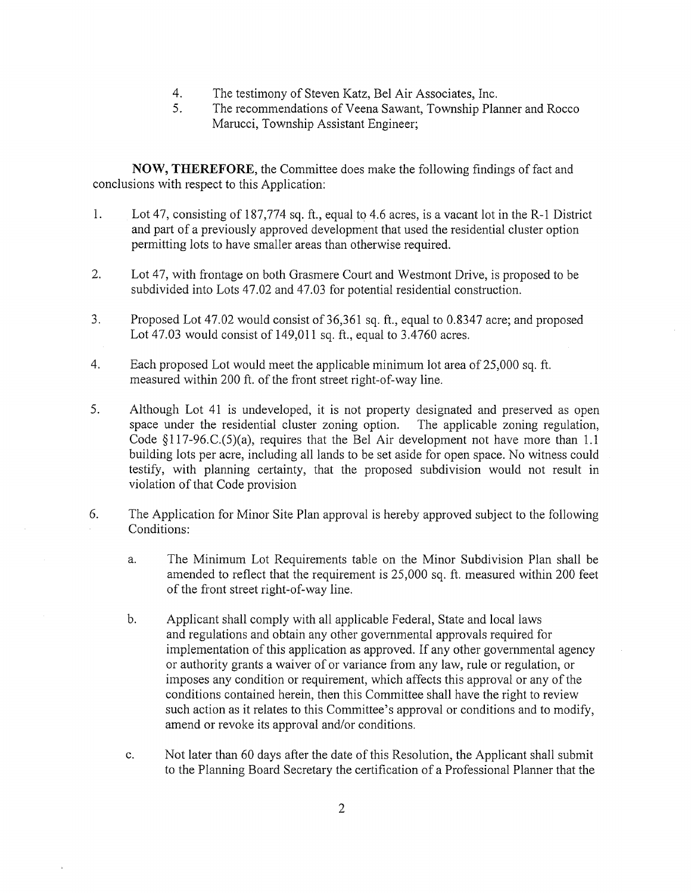- 4. The testimony of Steven Katz, Be! Air Associates, Inc.
- 5. The recommendations of Veena Sawant, Township Planner and Rocco Marucci, Township Assistant Engineer;

NOW, THEREFORE, the Committee does make the following findings of fact and conclusions with respect to this Application:

- $\mathbf{1}$ . Lot 47, consisting of 187,774 sq. ft., equal to 4.6 acres, is a vacant lot in the R-1 District and part of <sup>a</sup> previously approved development that used the residential cluster option permitting lots to have smaller areas than otherwise required.
- 2. Lot 47, with frontage on both Grasmere Court and Westmont Drive, is proposed to be subdivided into Lots 47.02 and 47.03 for potential residential construction.
- 3. Proposed Lot 47.02 would consist of 36,361 sq. ft., equal to 0.8347 acre; and proposed Lot 47.03 would consist of 149,011 sq. ft., equal to 3.4760 acres.
- 4. Each proposed Lot would meet the applicable minimum lot area of 25,000 sq. ft. measured within 200 ft. of the front street right-of-way line.
- 5. Although Lot 41 is undeveloped, it is not property designated and preserved as open space under the residential cluster zoning option. The applicable zoning regulation, Code  $\S117-96$ .C.(5)(a), requires that the Bel Air development not have more than 1.1 building lots per acre, including all lands to be set aside for open space. No witness could testify, with planning certainty, that the proposed subdivision would not result in violation of that Code provision
- 6. The Application for Minor Site Plan approval is hereby approved subject to the following Conditions:
	- a. The Minimum Lot Requirements table on the Minor Subdivision Plan shall be amended to reflect that the requirement is 25,000 sq. ft. measured within 200 feet of the front street right-of-way line.
	- b. Applicant shall comply with all applicable Federal, State and local laws and regulations and obtain any other governmental approvals required for implementation of this application as approved. If any other governmental agency or authority grants <sup>a</sup> waiver of or variance from any law, rule or regulation, or imposes any condition or requirement, which affects this approval or any of the conditions contained herein, then this Committee shall have the right to review such action as it relates to this Committee's approval or conditions and to modify, amend or revoke its approval and/or conditions.
	- c. Not later than 60 days after the date of this Resolution, the Applicant shall submit to the Planning Board Secretary the certification of <sup>a</sup> Professional Planner that the